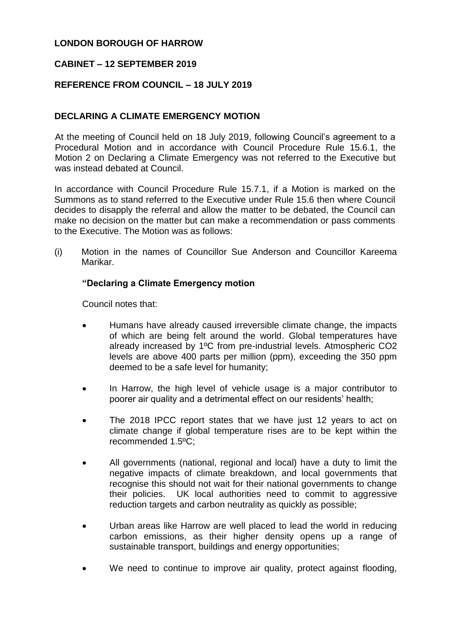# **LONDON BOROUGH OF HARROW**

## **CABINET – 12 SEPTEMBER 2019**

## **REFERENCE FROM COUNCIL – 18 JULY 2019**

# **DECLARING A CLIMATE EMERGENCY MOTION**

At the meeting of Council held on 18 July 2019, following Council's agreement to a Procedural Motion and in accordance with Council Procedure Rule 15.6.1, the Motion 2 on Declaring a Climate Emergency was not referred to the Executive but was instead debated at Council.

In accordance with Council Procedure Rule 15.7.1, if a Motion is marked on the Summons as to stand referred to the Executive under Rule 15.6 then where Council decides to disapply the referral and allow the matter to be debated, the Council can make no decision on the matter but can make a recommendation or pass comments to the Executive. The Motion was as follows:

(i) Motion in the names of Councillor Sue Anderson and Councillor Kareema Marikar.

#### **"Declaring a Climate Emergency motion**

Council notes that:

- Humans have already caused irreversible climate change, the impacts of which are being felt around the world. Global temperatures have already increased by 1ºC from pre-industrial levels. Atmospheric CO2 levels are above 400 parts per million (ppm), exceeding the 350 ppm deemed to be a safe level for humanity;
- In Harrow, the high level of vehicle usage is a major contributor to poorer air quality and a detrimental effect on our residents' health;
- The 2018 IPCC report states that we have just 12 years to act on climate change if global temperature rises are to be kept within the recommended 1.5ºC;
- All governments (national, regional and local) have a duty to limit the negative impacts of climate breakdown, and local governments that recognise this should not wait for their national governments to change their policies. UK local authorities need to commit to aggressive reduction targets and carbon neutrality as quickly as possible;
- Urban areas like Harrow are well placed to lead the world in reducing carbon emissions, as their higher density opens up a range of sustainable transport, buildings and energy opportunities;
- We need to continue to improve air quality, protect against flooding,